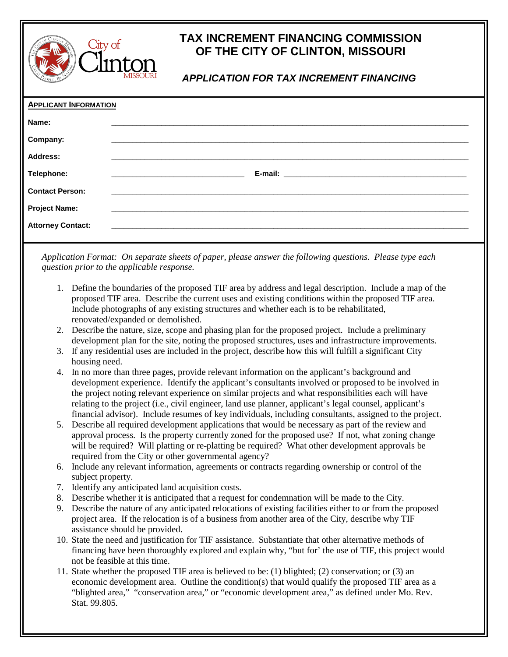

## **TAX INCREMENT FINANCING COMMISSION OF THE CITY OF CLINTON, MISSOURI**

## *APPLICATION FOR TAX INCREMENT FINANCING*

| <b>APPLICANT INFORMATION</b> |                                                                                                                       |  |
|------------------------------|-----------------------------------------------------------------------------------------------------------------------|--|
| Name:                        |                                                                                                                       |  |
| Company:                     |                                                                                                                       |  |
| <b>Address:</b>              |                                                                                                                       |  |
| Telephone:                   | <u> 1980 - Johann John Stein, markin fan de Amerikaansk kommunent fan de Amerikaansk kommunent fan de Amerikaansk</u> |  |
| <b>Contact Person:</b>       |                                                                                                                       |  |
| <b>Project Name:</b>         |                                                                                                                       |  |
| <b>Attorney Contact:</b>     |                                                                                                                       |  |
|                              |                                                                                                                       |  |

*Application Format: On separate sheets of paper, please answer the following questions. Please type each question prior to the applicable response.*

- 1. Define the boundaries of the proposed TIF area by address and legal description. Include a map of the proposed TIF area. Describe the current uses and existing conditions within the proposed TIF area. Include photographs of any existing structures and whether each is to be rehabilitated, renovated/expanded or demolished.
- 2. Describe the nature, size, scope and phasing plan for the proposed project. Include a preliminary development plan for the site, noting the proposed structures, uses and infrastructure improvements.
- 3. If any residential uses are included in the project, describe how this will fulfill a significant City housing need.
- 4. In no more than three pages, provide relevant information on the applicant's background and development experience. Identify the applicant's consultants involved or proposed to be involved in the project noting relevant experience on similar projects and what responsibilities each will have relating to the project (i.e., civil engineer, land use planner, applicant's legal counsel, applicant's financial advisor). Include resumes of key individuals, including consultants, assigned to the project.
- 5. Describe all required development applications that would be necessary as part of the review and approval process. Is the property currently zoned for the proposed use? If not, what zoning change will be required? Will platting or re-platting be required? What other development approvals be required from the City or other governmental agency?
- 6. Include any relevant information, agreements or contracts regarding ownership or control of the subject property.
- 7. Identify any anticipated land acquisition costs.
- 8. Describe whether it is anticipated that a request for condemnation will be made to the City.
- 9. Describe the nature of any anticipated relocations of existing facilities either to or from the proposed project area. If the relocation is of a business from another area of the City, describe why TIF assistance should be provided.
- 10. State the need and justification for TIF assistance. Substantiate that other alternative methods of financing have been thoroughly explored and explain why, "but for' the use of TIF, this project would not be feasible at this time.
- 11. State whether the proposed TIF area is believed to be: (1) blighted; (2) conservation; or (3) an economic development area. Outline the condition(s) that would qualify the proposed TIF area as a "blighted area," "conservation area," or "economic development area," as defined under Mo. Rev. Stat. 99.805.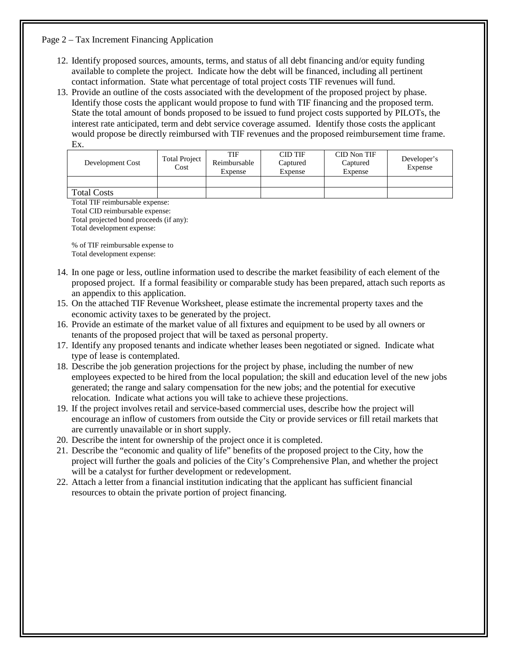## Page 2 – Tax Increment Financing Application

- 12. Identify proposed sources, amounts, terms, and status of all debt financing and/or equity funding available to complete the project. Indicate how the debt will be financed, including all pertinent contact information. State what percentage of total project costs TIF revenues will fund.
- 13. Provide an outline of the costs associated with the development of the proposed project by phase. Identify those costs the applicant would propose to fund with TIF financing and the proposed term. State the total amount of bonds proposed to be issued to fund project costs supported by PILOTs, the interest rate anticipated, term and debt service coverage assumed. Identify those costs the applicant would propose be directly reimbursed with TIF revenues and the proposed reimbursement time frame. Ex.

| Development Cost   | <b>Total Project</b><br>Cost | TIF<br>Reimbursable<br>Expense | <b>CID TIF</b><br>Captured<br>Expense | CID Non TIF<br>Captured<br>Expense | Developer's<br>Expense |
|--------------------|------------------------------|--------------------------------|---------------------------------------|------------------------------------|------------------------|
|                    |                              |                                |                                       |                                    |                        |
| <b>Total Costs</b> |                              |                                |                                       |                                    |                        |

Total TIF reimbursable expense: Total CID reimbursable expense: Total projected bond proceeds (if any): Total development expense:

% of TIF reimbursable expense to Total development expense:

- 14. In one page or less, outline information used to describe the market feasibility of each element of the proposed project. If a formal feasibility or comparable study has been prepared, attach such reports as an appendix to this application.
- 15. On the attached TIF Revenue Worksheet, please estimate the incremental property taxes and the economic activity taxes to be generated by the project.
- 16. Provide an estimate of the market value of all fixtures and equipment to be used by all owners or tenants of the proposed project that will be taxed as personal property.
- 17. Identify any proposed tenants and indicate whether leases been negotiated or signed. Indicate what type of lease is contemplated.
- 18. Describe the job generation projections for the project by phase, including the number of new employees expected to be hired from the local population; the skill and education level of the new jobs generated; the range and salary compensation for the new jobs; and the potential for executive relocation. Indicate what actions you will take to achieve these projections.
- 19. If the project involves retail and service-based commercial uses, describe how the project will encourage an inflow of customers from outside the City or provide services or fill retail markets that are currently unavailable or in short supply.
- 20. Describe the intent for ownership of the project once it is completed.
- 21. Describe the "economic and quality of life" benefits of the proposed project to the City, how the project will further the goals and policies of the City's Comprehensive Plan, and whether the project will be a catalyst for further development or redevelopment.
- 22. Attach a letter from a financial institution indicating that the applicant has sufficient financial resources to obtain the private portion of project financing.